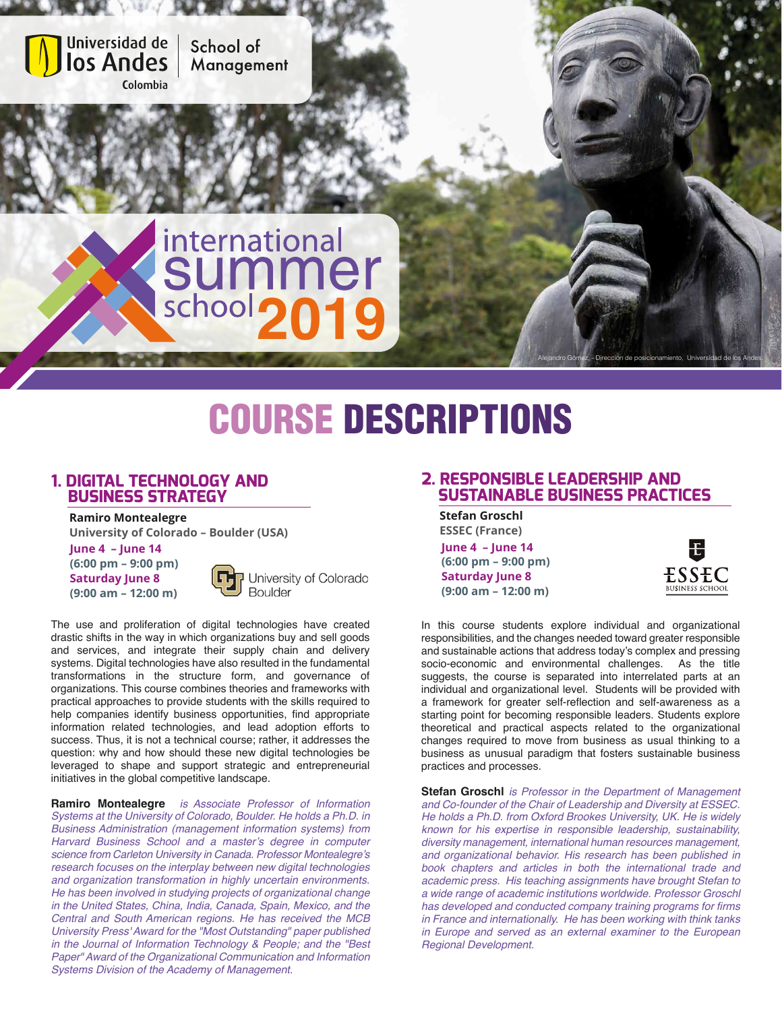

# COURSE DESCRIPTIONS

#### **1. DIGITAL TECHNOLOGY AND BUSINESS STRATEGY**

 **Ramiro Montealegre University of Colorado – Boulder (USA)**

**June 4 – June 14 (6:00 pm – 9:00 pm) Saturday June 8 (9:00 am – 12:00 m)**



The use and proliferation of digital technologies have created drastic shifts in the way in which organizations buy and sell goods and services, and integrate their supply chain and delivery systems. Digital technologies have also resulted in the fundamental transformations in the structure form, and governance of organizations. This course combines theories and frameworks with practical approaches to provide students with the skills required to help companies identify business opportunities, find appropriate information related technologies, and lead adoption efforts to success. Thus, it is not a technical course; rather, it addresses the question: why and how should these new digital technologies be leveraged to shape and support strategic and entrepreneurial initiatives in the global competitive landscape.

**Ramiro Montealegre** *is Associate Professor of Information Systems at the University of Colorado, Boulder. He holds a Ph.D. in Business Administration (management information systems) from*  Harvard Business School and a master's degree in computer science from Carleton University in Canada. Professor Montealegre's research focuses on the interplay between new digital technologies *and organization transformation in highly uncertain environments.*  He has been involved in studying projects of organizational change in the United States, China, India, Canada, Spain, Mexico, and the *Central and South American regions. He has received the MCB*  University Press' Award for the "Most Outstanding" paper published in the Journal of Information Technology & People; and the "Best Paper" Award of the Organizational Communication and Information *Systems Division of the Academy of Management.*

### **2. RESPONSIBLE LEADERSHIP AND SUSTAINABLE BUSINESS PRACTICES**

 **Stefan Groschl ESSEC (France) June 4 – June 14 (6:00 pm – 9:00 pm) Saturday June 8 (9:00 am – 12:00 m)**



In this course students explore individual and organizational responsibilities, and the changes needed toward greater responsible and sustainable actions that address today's complex and pressing socio-economic and environmental challenges. As the title suggests, the course is separated into interrelated parts at an individual and organizational level. Students will be provided with a framework for greater self-reflection and self-awareness as a starting point for becoming responsible leaders. Students explore theoretical and practical aspects related to the organizational changes required to move from business as usual thinking to a business as unusual paradigm that fosters sustainable business practices and processes.

**Stefan Groschl** is Professor in the Department of Management and Co-founder of the Chair of Leadership and Diversity at ESSEC. He holds a Ph.D. from Oxford Brookes University, UK. He is widely known for his expertise in responsible leadership, sustainability, *diversity management, international human resources management,* and organizational behavior. His research has been published in book chapters and articles in both the international trade and academic press. His teaching assignments have brought Stefan to a wide range of academic institutions worldwide. Professor Groschl has developed and conducted company training programs for firms in France and internationally. He has been working with think tanks in Europe and served as an external examiner to the European Regional Development.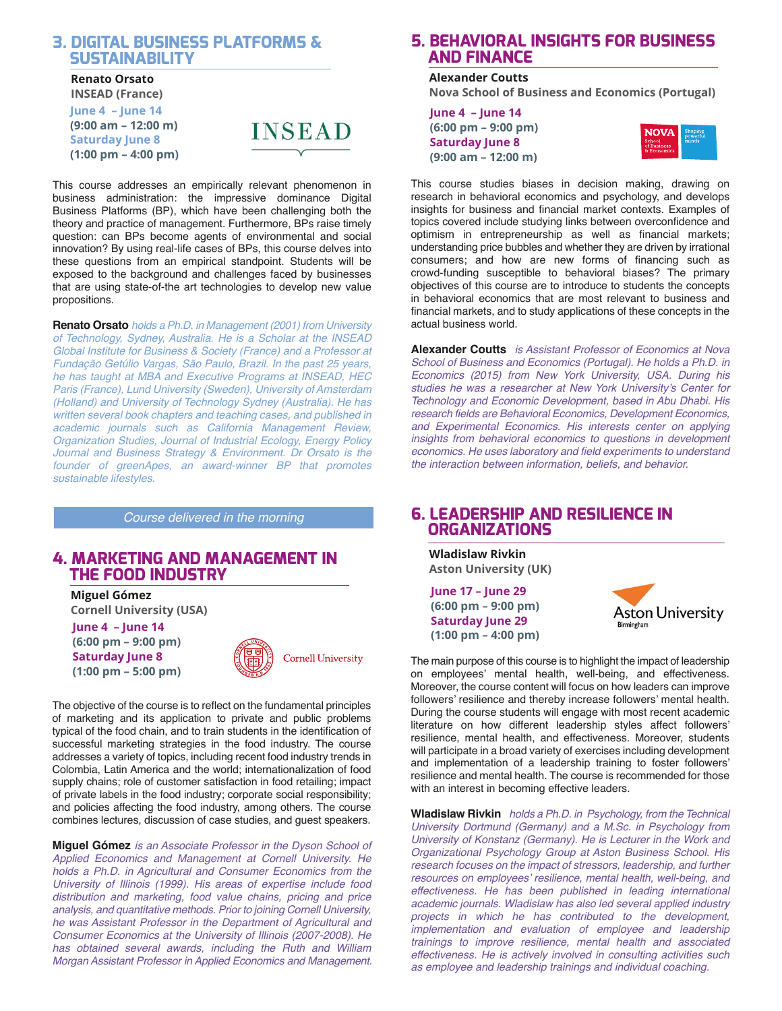#### **3. DIGITAL BUSINESS PLATFORMS & SUSTAINABILITY**

#### **Renato Orsato**

 **INSEAD (France) June 4 – June 14 (9:00 am – 12:00 m) Saturday June 8 (1:00 pm – 4:00 pm)**



This course addresses an empirically relevant phenomenon in business administration: the impressive dominance Digital Business Platforms (BP), which have been challenging both the theory and practice of management. Furthermore, BPs raise timely question: can BPs become agents of environmental and social innovation? By using real-life cases of BPs, this course delves into these questions from an empirical standpoint. Students will be exposed to the background and challenges faced by businesses that are using state-of-the art technologies to develop new value propositions.

**Renato Orsato** *holds a Ph.D. in Management (2001) from University* of Technology, Sydney, Australia. He is a Scholar at the INSEAD Global Institute for Business & Society (France) and a Professor at Fundação Getúlio Vargas, São Paulo, Brazil. In the past 25 years, he has taught at MBA and Executive Programs at INSEAD, HEC Paris (France), Lund University (Sweden), University of Amsterdam *(Holland) and University of Technology Sydney (Australia). He has*  written several book chapters and teaching cases, and published in academic journals such as California Management Review, Organization Studies, Journal of Industrial Ecology, Energy Policy Journal and Business Strategy & Environment. Dr Orsato is the founder of greenApes, an award-winner BP that promotes sustainable lifestyles.

*Course delivered in the morning*

#### **4. MARKETING AND MANAGEMENT IN THE FOOD INDUSTRY**

 **Miguel Gómez Cornell University (USA) June 4 – June 14 (6:00 pm – 9:00 pm) Saturday June 8 (1:00 pm – 5:00 pm)**



The objective of the course is to reflect on the fundamental principles of marketing and its application to private and public problems typical of the food chain, and to train students in the identification of successful marketing strategies in the food industry. The course addresses a variety of topics, including recent food industry trends in Colombia, Latin America and the world; internationalization of food supply chains; role of customer satisfaction in food retailing; impact of private labels in the food industry; corporate social responsibility; and policies affecting the food industry, among others. The course combines lectures, discussion of case studies, and guest speakers.

**Miguel Gómez** *is an Associate Professor in the Dyson School of*  Applied Economics and Management at Cornell University. He holds a Ph.D. in Agricultural and Consumer Economics from the University of Illinois (1999). His areas of expertise include food distribution and marketing, food value chains, pricing and price analysis, and quantitative methods. Prior to joining Cornell University, he was Assistant Professor in the Department of Agricultural and Consumer Economics at the University of Illinois (2007-2008). He has obtained several awards, including the Ruth and William Morgan Assistant Professor in Applied Economics and Management.

#### **5. BEHAVIORAL INSIGHTS FOR BUSINESS AND FINANCE**

#### **Alexander Coutts**

 **Nova School of Business and Economics (Portugal)**

**June 4 – June 14 (6:00 pm – 9:00 pm) Saturday June 8 (9:00 am – 12:00 m)**



This course studies biases in decision making, drawing on research in behavioral economics and psychology, and develops insights for business and financial market contexts. Examples of topics covered include studying links between overconfidence and optimism in entrepreneurship as well as financial markets; understanding price bubbles and whether they are driven by irrational consumers; and how are new forms of financing such as crowd-funding susceptible to behavioral biases? The primary objectives of this course are to introduce to students the concepts in behavioral economics that are most relevant to business and financial markets, and to study applications of these concepts in the actual business world.

**Alexander Coutts** is Assistant Professor of Economics at Nova School of Business and Economics (Portugal). He holds a Ph.D. in Economics (2015) from New York University, USA. During his studies he was a researcher at New York University's Center for Technology and Economic Development, based in Abu Dhabi. His research fields are Behavioral Economics, Development Economics, and Experimental Economics. His interests center on applying insights from behavioral economics to questions in development economics. He uses laboratory and field experiments to understand the interaction between information, beliefs, and behavior.

#### **6. LEADERSHIP AND RESILIENCE IN ORGANIZATIONS**

 **Wladislaw Rivkin Aston University (UK)**

**June 17 – June 29 (6:00 pm – 9:00 pm) Saturday June 29 (1:00 pm – 4:00 pm)**



The main purpose of this course is to highlight the impact of leadership on employees' mental health, well-being, and effectiveness. Moreover, the course content will focus on how leaders can improve followers' resilience and thereby increase followers' mental health. During the course students will engage with most recent academic literature on how different leadership styles affect followers' resilience, mental health, and effectiveness. Moreover, students will participate in a broad variety of exercises including development and implementation of a leadership training to foster followers' resilience and mental health. The course is recommended for those with an interest in becoming effective leaders.

**Wladislaw Rivkin** *holds a Ph.D. in Psychology, from the Technical* University Dortmund (Germany) and a M.Sc. in Psychology from University of Konstanz (Germany). He is Lecturer in the Work and Organizational Psychology Group at Aston Business School. His research focuses on the impact of stressors, leadership, and *further*  resources on employees' resilience, mental health, well-being, *and*  effectiveness. He has been published in leading international academic journals. Wladislaw has also led several applied industry projects in which he has contributed to the development, implementation and evaluation of employee and leadership trainings to improve resilience, mental health and associated *effectiveness. He is actively involved in consulting activities such*  as employee and leadership trainings and individual coaching.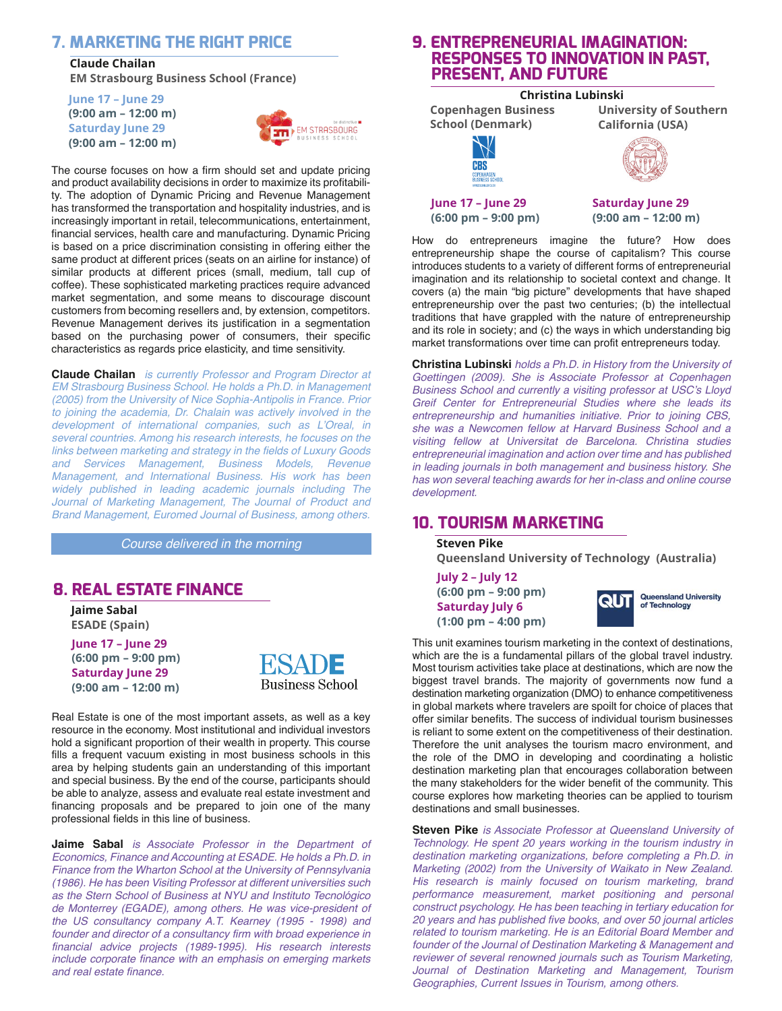#### **7. MARKETING THE RIGHT PRICE**

 **Claude Chailan**

 **EM Strasbourg Business School (France)**

**June 17 – June 29 (9:00 am – 12:00 m) Saturday June 29 (9:00 am – 12:00 m)**



The course focuses on how a firm should set and update pricing and product availability decisions in order to maximize its profitability. The adoption of Dynamic Pricing and Revenue Management has transformed the transportation and hospitality industries, and is increasingly important in retail, telecommunications, entertainment, financial services, health care and manufacturing. Dynamic Pricing is based on a price discrimination consisting in offering either the same product at different prices (seats on an airline for instance) of similar products at different prices (small, medium, tall cup of coffee). These sophisticated marketing practices require advanced market segmentation, and some means to discourage discount customers from becoming resellers and, by extension, competitors. Revenue Management derives its justification in a segmentation based on the purchasing power of consumers, their specific characteristics as regards price elasticity, and time sensitivity.

**Claude Chailan** *is currently Professor and Program Director at*  EM Strasbourg Business School. He holds a Ph.D. in Management (2005) from the University of Nice Sophia-Antipolis in France. Prior to joining the academia, Dr. Chalain was actively involved in the development of international companies, such as L'Oreal, in *several countries. Among his research interests, he focuses on the*  links between marketing and strategy in the fields of Luxury Goods *and Services Management, Business Models, Revenue*  Management, and International Business. His work has been widely published in leading academic journals including The Journal of Marketing Management, The Journal of Product and Brand Management, Euromed Journal of Business, among others.

*Course delivered in the morning*

#### **8. REAL ESTATE FINANCE**

 **Jaime Sabal ESADE (Spain)**

**June 17 – June 29 (6:00 pm – 9:00 pm) Saturday June 29 (9:00 am – 12:00 m)**



Real Estate is one of the most important assets, as well as a key resource in the economy. Most institutional and individual investors hold a significant proportion of their wealth in property. This course fills a frequent vacuum existing in most business schools in this area by helping students gain an understanding of this important and special business. By the end of the course, participants should be able to analyze, assess and evaluate real estate investment and financing proposals and be prepared to join one of the many professional fields in this line of business.

**Jaime Sabal** is Associate Professor in the Department of Economics, Finance and Accounting at ESADE. He holds a Ph.D. in Finance from the Wharton School at the University of Pennsylvania (1986). He has been Visiting Professor at different universities such as the Stern School of Business at NYU and Instituto Tecnológico de Monterrey (EGADE), among others. He was vice-president of the US consultancy company A.T. Kearney (1995 - 1998) and founder and director of a consultancy firm with broad experience in financial advice projects (1989-1995). His research interests include corporate finance with an emphasis on emerging markets *and real estate finance.*

#### **9. ENTREPRENEURIAL IMAGINATION: RESPONSES TO INNOVATION IN PAST, PRESENT, AND FUTURE**

#### **Christina Lubinski Copenhagen Business University of Southern School (Denmark) California (USA)**CBS **June 17 – June 29 Saturday June 29**

**(6:00 pm – 9:00 pm)**

**(9:00 am – 12:00 m)**

How do entrepreneurs imagine the future? How does entrepreneurship shape the course of capitalism? This course introduces students to a variety of different forms of entrepreneurial imagination and its relationship to societal context and change. It covers (a) the main "big picture" developments that have shaped entrepreneurship over the past two centuries; (b) the intellectual traditions that have grappled with the nature of entrepreneurship and its role in society; and (c) the ways in which understanding big market transformations over time can profit entrepreneurs today.

**Christina Lubinski** *holds a Ph.D. in History from the University of*  Goettingen (2009). She is Associate Professor at Copenhagen Business School and currently a visiting professor at USC's Lloyd Greif Center for Entrepreneurial Studies where she leads its entrepreneurship and humanities initiative. Prior to joining CBS, she was a Newcomen fellow at Harvard Business School and a visiting fellow at Universitat de Barcelona. Christina studies entrepreneurial imagination and action over time and has published in leading journals in both management and business history. She has won several teaching awards for her in-class and online course development.

## **10. TOURISM MARKETING**

 **Steven Pike Queensland University of Technology (Australia) July 2 – July 12**

**(6:00 pm – 9:00 pm) Saturday July 6 (1:00 pm – 4:00 pm)**



This unit examines tourism marketing in the context of destinations, which are the is a fundamental pillars of the global travel industry. Most tourism activities take place at destinations, which are now the biggest travel brands. The majority of governments now fund a destination marketing organization (DMO) to enhance competitiveness in global markets where travelers are spoilt for choice of places that offer similar benefits. The success of individual tourism businesses is reliant to some extent on the competitiveness of their destination. Therefore the unit analyses the tourism macro environment, and the role of the DMO in developing and coordinating a holistic destination marketing plan that encourages collaboration between the many stakeholders for the wider benefit of the community. This course explores how marketing theories can be applied to tourism destinations and small businesses.

**Steven Pike** *is Associate Professor at Queensland University of*  Technology. He spent 20 years working in the tourism industry in destination marketing organizations, before completing a Ph.D. in Marketing (2002) from the University of Waikato in New Zealand. His research is mainly focused on tourism marketing, brand performance measurement, market positioning and personal construct psychology. He has been teaching in tertiary education for 20 years and has published five books, and over 50 journal articles related to tourism marketing. He is an Editorial Board Member and founder of the Journal of Destination Marketing & Management and reviewer of several renowned journals such as Tourism Marketing, Journal of Destination Marketing and Management, Tourism Geographies, Current Issues in Tourism, among others.